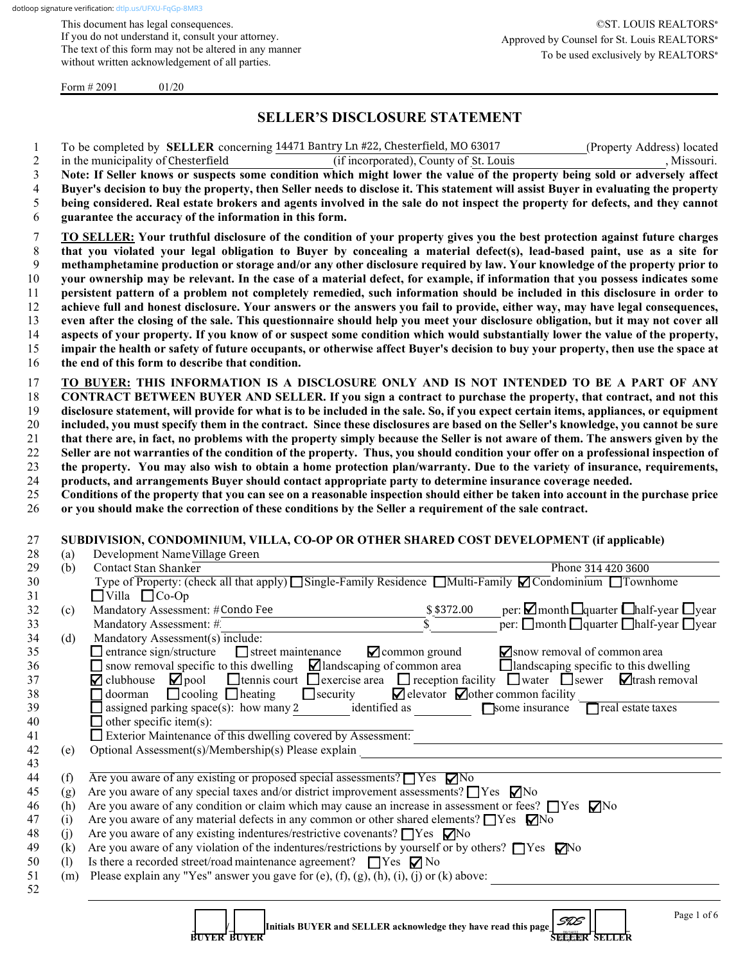This document has legal consequences. If you do not understand it, consult your attorney. The text of this form may not be altered in any manner without written acknowledgement of all parties.

Form  $\# 2091$  01/20

# **SELLER'S DISCLOSURE STATEMENT**

1 To be completed by **SELLER** concerning 14471 Bantry Ln #22, Chesterfield, MO 63017 (Property Address) located

|     | in the municipality of Chesterfield<br>(if incorporated), County of St. Louis<br>, Missouri.                                                                                      |
|-----|-----------------------------------------------------------------------------------------------------------------------------------------------------------------------------------|
|     | Note: If Seller knows or suspects some condition which might lower the value of the property being sold or adversely affect                                                       |
|     | Buyer's decision to buy the property, then Seller needs to disclose it. This statement will assist Buyer in evaluating the property                                               |
|     | being considered. Real estate brokers and agents involved in the sale do not inspect the property for defects, and they cannot                                                    |
|     | guarantee the accuracy of the information in this form.                                                                                                                           |
|     | TO SELLER: Your truthful disclosure of the condition of your property gives you the best protection against future charges                                                        |
|     | that you violated your legal obligation to Buyer by concealing a material defect(s), lead-based paint, use as a site for                                                          |
|     | methamphetamine production or storage and/or any other disclosure required by law. Your knowledge of the property prior to                                                        |
|     | your ownership may be relevant. In the case of a material defect, for example, if information that you possess indicates some                                                     |
|     |                                                                                                                                                                                   |
|     | persistent pattern of a problem not completely remedied, such information should be included in this disclosure in order to                                                       |
|     | achieve full and honest disclosure. Your answers or the answers you fail to provide, either way, may have legal consequences,                                                     |
|     | even after the closing of the sale. This questionnaire should help you meet your disclosure obligation, but it may not cover all                                                  |
|     | aspects of your property. If you know of or suspect some condition which would substantially lower the value of the property,                                                     |
|     | impair the health or safety of future occupants, or otherwise affect Buyer's decision to buy your property, then use the space at                                                 |
|     | the end of this form to describe that condition.                                                                                                                                  |
|     | TO BUYER: THIS INFORMATION IS A DISCLOSURE ONLY AND IS NOT INTENDED TO BE A PART OF ANY                                                                                           |
|     | CONTRACT BETWEEN BUYER AND SELLER. If you sign a contract to purchase the property, that contract, and not this                                                                   |
|     | disclosure statement, will provide for what is to be included in the sale. So, if you expect certain items, appliances, or equipment                                              |
|     | included, you must specify them in the contract. Since these disclosures are based on the Seller's knowledge, you cannot be sure                                                  |
|     | that there are, in fact, no problems with the property simply because the Seller is not aware of them. The answers given by the                                                   |
|     | Seller are not warranties of the condition of the property. Thus, you should condition your offer on a professional inspection of                                                 |
|     | the property. You may also wish to obtain a home protection plan/warranty. Due to the variety of insurance, requirements,                                                         |
|     | products, and arrangements Buyer should contact appropriate party to determine insurance coverage needed.                                                                         |
|     | Conditions of the property that you can see on a reasonable inspection should either be taken into account in the purchase price                                                  |
|     | or you should make the correction of these conditions by the Seller a requirement of the sale contract.                                                                           |
|     |                                                                                                                                                                                   |
|     |                                                                                                                                                                                   |
|     | SUBDIVISION, CONDOMINIUM, VILLA, CO-OP OR OTHER SHARED COST DEVELOPMENT (if applicable)                                                                                           |
| (a) | Development Name Village Green                                                                                                                                                    |
| (b) | Contact Stan Shanker<br>Phone 314 420 3600                                                                                                                                        |
|     | Type of Property: (check all that apply) Single-Family Residence Multi-Family ⊠ Condominium ITownhome                                                                             |
|     | $\Box$ Villa $\Box$ Co-Op                                                                                                                                                         |
| (c) | per: $\square$ month $\square$ quarter $\square$ half-year $\square$ year<br>Mandatory Assessment: #Condo Fee<br>\$\$372.00                                                       |
|     | $\bar{s}$<br>per: $\Box$ month $\Box$ quarter $\Box$ half-year $\Box$ year<br>Mandatory Assessment: #                                                                             |
| (d) | Mandatory Assessment(s) include:                                                                                                                                                  |
|     | $\blacksquare$ common ground<br>$\Box$ entrance sign/structure<br>$\Box$ street maintenance<br>Snow removal of common area                                                        |
|     | $\Box$ snow removal specific to this dwelling $\Box$ landscaping of common area<br>$\Box$ landscaping specific to this dwelling                                                   |
|     | <b>O</b> tennis court $\Box$ exercise area $\Box$ reception facility $\Box$ water $\Box$ sewer $\Box$ extrash removal<br>$\blacktriangleright$ clubhouse<br>$\blacktriangle$ pool |
|     | $\Box$ cooling $\Box$ heating<br>$\Box$ security<br>$\blacksquare$ elevator $\blacksquare$ other common facility<br>$\Box$ doorman                                                |
|     | $\Box$ assigned parking space(s): how many 2<br>identified as<br>Some insurance<br>real estate taxes                                                                              |
|     | $\Box$ other specific item(s):                                                                                                                                                    |
|     | Exterior Maintenance of this dwelling covered by Assessment:                                                                                                                      |
| (e) |                                                                                                                                                                                   |
|     |                                                                                                                                                                                   |
| (f) | Are you aware of any existing or proposed special assessments? ■ Yes ■ No                                                                                                         |
| (g) | Are you aware of any special taxes and/or district improvement assessments? $\Box$ Yes $\nabla$ No                                                                                |
| (h) | Are you aware of any condition or claim which may cause an increase in assessment or fees? $\Box$ Yes $\nabla$ No                                                                 |
| (i) | Are you aware of any material defects in any common or other shared elements? $\Box$ Yes $\Box$ No                                                                                |
| (j) | Are you aware of any existing indentures/restrictive covenants? □ Yes ■ No                                                                                                        |
|     | Are you aware of any violation of the indentures/restrictions by yourself or by others? $\Box$ Yes $\nabla$ No                                                                    |
| (k) |                                                                                                                                                                                   |
|     |                                                                                                                                                                                   |
| (1) | Is there a recorded street/road maintenance agreement? $\Box$ Yes $\nabla$ No                                                                                                     |
| (m) | Please explain any "Yes" answer you gave for (e), (f), (g), (h), (i), (j) or (k) above:                                                                                           |
|     |                                                                                                                                                                                   |
|     | Page 1 of 6                                                                                                                                                                       |

 **\_\_\_\_\_\_\_/\_\_\_\_\_\_\_ Initials BUYER and SELLER acknowledge they have read this page[\\_\\_\\_\\_\\_\\_\\_\\_/](https://dtlp.us/UFXU-FqGp-8MR3)\_\_\_\_\_\_\_\_**

SDS 06/14/22<br>2010 AM<br>Dotloop verkied

**BUYER BUYER**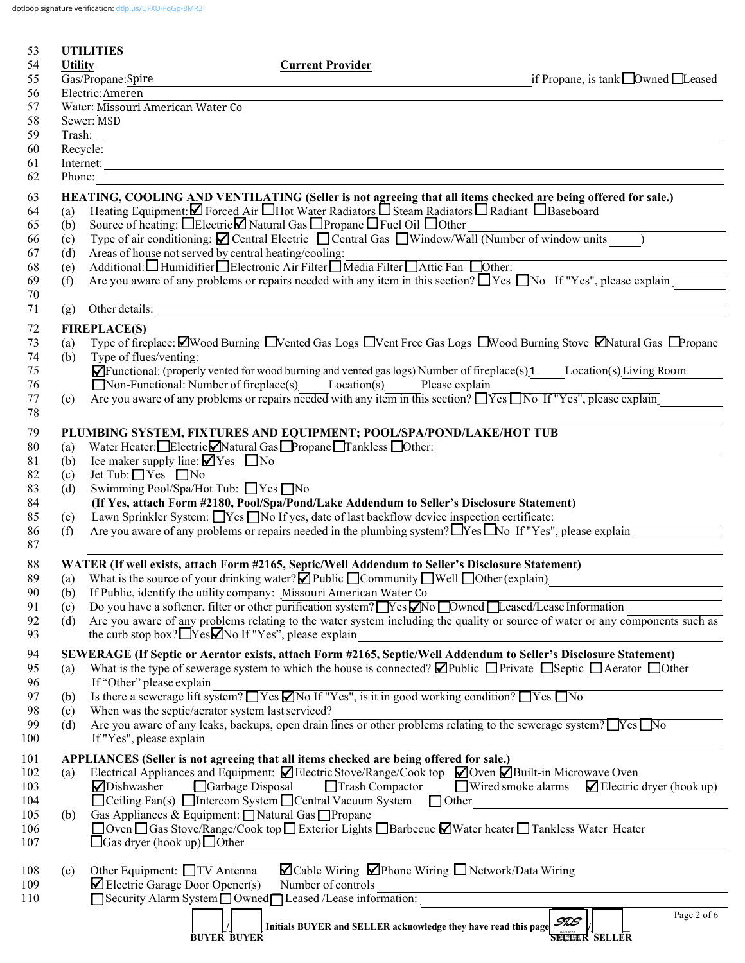dotloop signature verification: [dtlp.us/UFXU-FqGp-8MR3](https://dtlp.us/UFXU-FqGp-8MR3)

| 53       |                | <b>UTILITIES</b>              |                                                                                                                                                                                                            |                                                                                                                                                                                                                                      |
|----------|----------------|-------------------------------|------------------------------------------------------------------------------------------------------------------------------------------------------------------------------------------------------------|--------------------------------------------------------------------------------------------------------------------------------------------------------------------------------------------------------------------------------------|
| 54       | <b>Utility</b> |                               | <b>Current Provider</b>                                                                                                                                                                                    |                                                                                                                                                                                                                                      |
| 55       |                | Gas/Propane:Spire             |                                                                                                                                                                                                            | if Propane, is tank $\Box$ Owned $\Box$ Leased                                                                                                                                                                                       |
| 56       |                | Electric:Ameren               |                                                                                                                                                                                                            |                                                                                                                                                                                                                                      |
| 57       |                |                               | Water: Missouri American Water Co                                                                                                                                                                          |                                                                                                                                                                                                                                      |
| 58       |                | Sewer: MSD                    |                                                                                                                                                                                                            |                                                                                                                                                                                                                                      |
| 59       | Trash:         |                               |                                                                                                                                                                                                            |                                                                                                                                                                                                                                      |
| 60       | Recycle:       |                               |                                                                                                                                                                                                            |                                                                                                                                                                                                                                      |
| 61       |                |                               | Internet:                                                                                                                                                                                                  |                                                                                                                                                                                                                                      |
| 62       | Phone:         |                               |                                                                                                                                                                                                            |                                                                                                                                                                                                                                      |
|          |                |                               |                                                                                                                                                                                                            |                                                                                                                                                                                                                                      |
| 63       | (a)            |                               | HEATING, COOLING AND VENTILATING (Seller is not agreeing that all items checked are being offered for sale.)<br>Heating Equipment: Ø Forced Air Hot Water Radiators DSteam Radiators D Radiant D Baseboard |                                                                                                                                                                                                                                      |
| 64<br>65 | (b)            |                               | Source of heating: □Electric■ Natural Gas □ Propane □ Fuel Oil □ Other                                                                                                                                     |                                                                                                                                                                                                                                      |
|          | (c)            |                               | Type of air conditioning: $\Box$ Central Electric $\Box$ Central Gas $\Box$ Window/Wall (Number of window units )                                                                                          |                                                                                                                                                                                                                                      |
| 66       |                |                               | Areas of house not served by central heating/cooling:                                                                                                                                                      |                                                                                                                                                                                                                                      |
| 67<br>68 | (d)<br>(e)     |                               | Additional: Humidifier <i>Delectronic Air Filter</i> Media Filter Attic Fan Dother:                                                                                                                        |                                                                                                                                                                                                                                      |
| 69       |                |                               | Are you aware of any problems or repairs needed with any item in this section? $\Box$ Yes $\Box$ No If "Yes", please explain                                                                               |                                                                                                                                                                                                                                      |
| 70       | (f)            |                               |                                                                                                                                                                                                            |                                                                                                                                                                                                                                      |
| 71       |                | Other details:                | <u> 1989 - Johann Stoff, amerikansk politiker (d. 1989)</u>                                                                                                                                                |                                                                                                                                                                                                                                      |
|          | (g)            |                               | the control of the control of the control of the control of the control of the control of                                                                                                                  |                                                                                                                                                                                                                                      |
| 72       |                | <b>FIREPLACE(S)</b>           |                                                                                                                                                                                                            |                                                                                                                                                                                                                                      |
| 73       | (a)            |                               | Type of fireplace: $\Box$ Wood Burning $\Box$ Vented Gas Logs $\Box$ Vent Free Gas Logs $\Box$ Wood Burning Stove $\Box$ Natural Gas $\Box$ Propane                                                        |                                                                                                                                                                                                                                      |
| 74       | (b)            | Type of flues/venting:        |                                                                                                                                                                                                            |                                                                                                                                                                                                                                      |
| 75       |                |                               | $\blacksquare$ Functional: (properly vented for wood burning and vented gas logs) Number of fireplace(s) 1 Location(s) Living Room                                                                         |                                                                                                                                                                                                                                      |
| 76       |                |                               | $\Box$ Non-Functional: Number of fireplace(s) Location(s)<br>Please explain                                                                                                                                |                                                                                                                                                                                                                                      |
| 77       | (c)            |                               | Are you aware of any problems or repairs needed with any item in this section? $\Box$ Yes $\Box$ No If "Yes", please explain                                                                               |                                                                                                                                                                                                                                      |
| 78       |                |                               |                                                                                                                                                                                                            |                                                                                                                                                                                                                                      |
| 79       |                |                               | PLUMBING SYSTEM, FIXTURES AND EQUIPMENT; POOL/SPA/POND/LAKE/HOT TUB                                                                                                                                        |                                                                                                                                                                                                                                      |
| 80       | (a)            |                               | Water Heater: Electric Matural Gas Propane Tankless Other:                                                                                                                                                 |                                                                                                                                                                                                                                      |
| 81       | (b)            |                               | Ice maker supply line: $\blacksquare$ Yes $\blacksquare$ No                                                                                                                                                |                                                                                                                                                                                                                                      |
| 82       | (c)            | Jet Tub: $\Box$ Yes $\Box$ No |                                                                                                                                                                                                            |                                                                                                                                                                                                                                      |
| 83       | (d)            |                               | Swimming Pool/Spa/Hot Tub: □ Yes □ No                                                                                                                                                                      |                                                                                                                                                                                                                                      |
| 84       |                |                               | (If Yes, attach Form #2180, Pool/Spa/Pond/Lake Addendum to Seller's Disclosure Statement)                                                                                                                  |                                                                                                                                                                                                                                      |
| 85       | (e)            |                               | Lawn Sprinkler System: Nes No If yes, date of last backflow device inspection certificate:                                                                                                                 |                                                                                                                                                                                                                                      |
| 86       | (f)            |                               | Are you aware of any problems or repairs needed in the plumbing system? No If "Yes", please explain                                                                                                        |                                                                                                                                                                                                                                      |
| 87       |                |                               |                                                                                                                                                                                                            |                                                                                                                                                                                                                                      |
| 88       |                |                               | WATER (If well exists, attach Form #2165, Septic/Well Addendum to Seller's Disclosure Statement)                                                                                                           |                                                                                                                                                                                                                                      |
| 89       |                |                               | (a) What is the source of your drinking water? $\Box$ Public $\Box$ Community $\Box$ Well $\Box$ Other (explain)                                                                                           |                                                                                                                                                                                                                                      |
| 90       | (b)            |                               | If Public, identify the utility company: Missouri American Water Co                                                                                                                                        |                                                                                                                                                                                                                                      |
| 91       | (c)            |                               | Do you have a softener, filter or other purification system? $Yes$ No Downed Leased/Lease Information                                                                                                      |                                                                                                                                                                                                                                      |
| 92       | (d)            |                               | Are you aware of any problems relating to the water system including the quality or source of water or any components such as                                                                              |                                                                                                                                                                                                                                      |
| 93       |                |                               | the curb stop box? IYes Mo If "Yes", please explain                                                                                                                                                        |                                                                                                                                                                                                                                      |
|          |                |                               | SEWERAGE (If Septic or Aerator exists, attach Form #2165, Septic/Well Addendum to Seller's Disclosure Statement)                                                                                           |                                                                                                                                                                                                                                      |
| 94       |                |                               | What is the type of sewerage system to which the house is connected? $\Box$ Public $\Box$ Private $\Box$ Septic $\Box$ Aerator $\Box$ Other                                                                |                                                                                                                                                                                                                                      |
| 95       | (a)            | If "Other" please explain     |                                                                                                                                                                                                            |                                                                                                                                                                                                                                      |
| 96<br>97 |                |                               | Is there a sewerage lift system? $\Box$ Yes $\Box$ No If "Yes", is it in good working condition? $\Box$ Yes $\Box$ No                                                                                      |                                                                                                                                                                                                                                      |
| 98       | (b)            |                               | When was the septic/aerator system last serviced?                                                                                                                                                          |                                                                                                                                                                                                                                      |
| 99       | (c)            |                               | Are you aware of any leaks, backups, open drain lines or other problems relating to the sewerage system? $Yes$ No                                                                                          |                                                                                                                                                                                                                                      |
| 100      | (d)            | If "Yes", please explain      |                                                                                                                                                                                                            |                                                                                                                                                                                                                                      |
|          |                |                               |                                                                                                                                                                                                            |                                                                                                                                                                                                                                      |
| 101      |                |                               | APPLIANCES (Seller is not agreeing that all items checked are being offered for sale.)                                                                                                                     |                                                                                                                                                                                                                                      |
| 102      | (a)            |                               | Electrical Appliances and Equipment: $\Box$ Electric Stove/Range/Cook top $\Box$ Oven $\Box$ Built-in Microwave Oven                                                                                       |                                                                                                                                                                                                                                      |
| 103      |                | Dishwasher                    | Garbage Disposal<br>Trash Compactor                                                                                                                                                                        | $\Box$ Wired smoke alarms $\Box$ Electric dryer (hook up)                                                                                                                                                                            |
| 104      |                |                               | $\Box$ Ceiling Fan(s) $\Box$ Intercom System $\Box$ Central Vacuum System $\Box$ Other                                                                                                                     | <u>and the state of the state of the state of the state of the state of the state of the state of the state of the state of the state of the state of the state of the state of the state of the state of the state of the state</u> |
| 105      | (b)            |                               | Gas Appliances & Equipment: Natural Gas Propane                                                                                                                                                            |                                                                                                                                                                                                                                      |
| 106      |                |                               | □ Oven □ Gas Stove/Range/Cook top □ Exterior Lights □ Barbecue ■ Water heater □ Tankless Water Heater                                                                                                      |                                                                                                                                                                                                                                      |
| 107      |                |                               | $\Box$ Gas dryer (hook up) $\Box$ Other                                                                                                                                                                    |                                                                                                                                                                                                                                      |
|          |                |                               |                                                                                                                                                                                                            |                                                                                                                                                                                                                                      |
| 108      | (c)            |                               | ⊿ Cable Wiring ∠Phone Wiring Network/Data Wiring<br>Other Equipment: □TV Antenna                                                                                                                           |                                                                                                                                                                                                                                      |
| 109      |                |                               | $\blacktriangleright$ Electric Garage Door Opener(s)<br>Number of controls                                                                                                                                 |                                                                                                                                                                                                                                      |
| 110      |                |                               | Security Alarm System Owned Leased /Lease information:                                                                                                                                                     |                                                                                                                                                                                                                                      |
|          |                |                               | Initials BUYER and SELLER acknowledge they have read this page 5725                                                                                                                                        | Page 2 of 6                                                                                                                                                                                                                          |
|          |                |                               | <b>BUYER BUYER</b>                                                                                                                                                                                         | <b>SELLER SELLER</b>                                                                                                                                                                                                                 |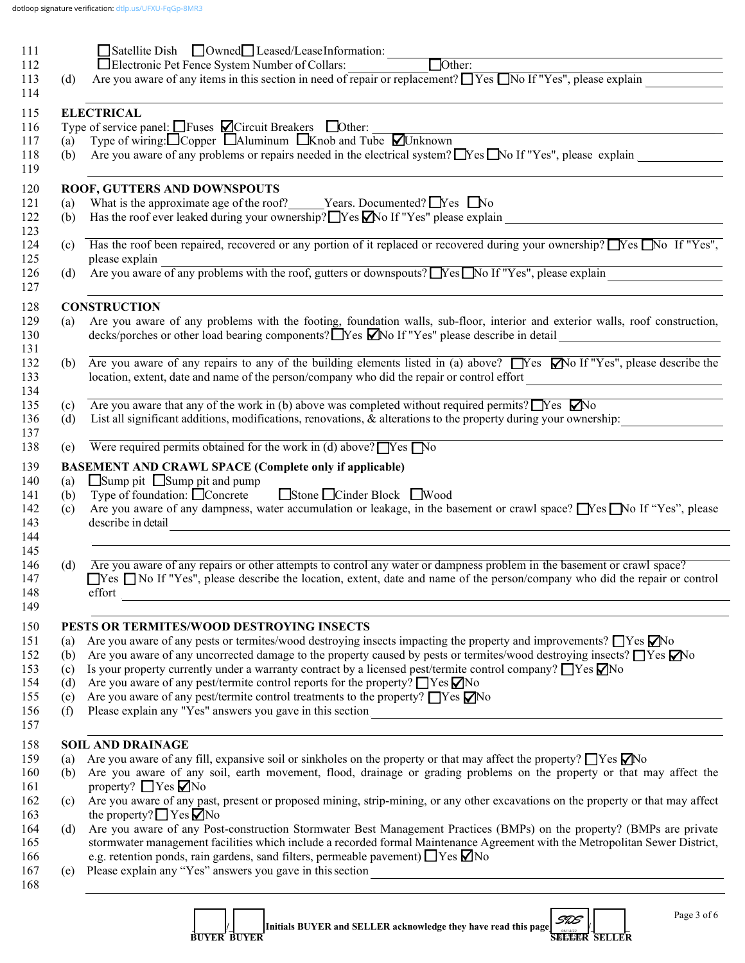| 111        |            | Satellite Dish Downed Leased/LeaseInformation: Dother:                                                                                                                                                                       |
|------------|------------|------------------------------------------------------------------------------------------------------------------------------------------------------------------------------------------------------------------------------|
| 112        |            |                                                                                                                                                                                                                              |
| 113        | (d)        | Are you aware of any items in this section in need of repair or replacement? No If "Yes", please explain                                                                                                                     |
| 114        |            |                                                                                                                                                                                                                              |
| 115        |            | <b>ELECTRICAL</b>                                                                                                                                                                                                            |
| 116<br>117 |            | Type of service panel: $\Box$ Fuses $\Box$ Circuit Breakers $\Box$ Other:<br>(a) Type of wiring: $\Box$ Copper $\Box$ Aluminum $\Box$ Knob and Tube $\Box$ Unknown                                                           |
| 118        | (b)        | Are you aware of any problems or repairs needed in the electrical system? $\Box$ Yes $\Box$ No If "Yes", please explain                                                                                                      |
| 119        |            |                                                                                                                                                                                                                              |
| 120        |            | ROOF, GUTTERS AND DOWNSPOUTS                                                                                                                                                                                                 |
| 121        | (a)        | What is the approximate age of the roof? _____Years. Documented? $\Box$ Yes $\Box$ No                                                                                                                                        |
| 122        | (b)        | Has the roof ever leaked during your ownership? Yes Mo If "Yes" please explain<br><u> 1980 - Johann Barn, mars an t-Amerikaansk politiker (</u>                                                                              |
| 123        |            |                                                                                                                                                                                                                              |
| 124<br>125 | (c)        | Has the roof been repaired, recovered or any portion of it replaced or recovered during your ownership? Nes No If "Yes",<br>please explain                                                                                   |
| 126        | (d)        | please explain<br>Are you aware of any problems with the roof, gutters or downspouts? No If "Yes", please explain                                                                                                            |
| 127        |            |                                                                                                                                                                                                                              |
| 128        |            | <b>CONSTRUCTION</b>                                                                                                                                                                                                          |
| 129        | (a)        | Are you aware of any problems with the footing, foundation walls, sub-floor, interior and exterior walls, roof construction,                                                                                                 |
| 130<br>131 |            | decks/porches or other load bearing components? TYes MNo If "Yes" please describe in detail                                                                                                                                  |
| 132        |            | (b) Are you aware of any repairs to any of the building elements listed in (a) above? $\Box$ Yes $\Box$ No If "Yes", please describe the                                                                                     |
| 133        |            | location, extent, date and name of the person/company who did the repair or control effort<br><u> 1980 - Jan Stein Stein Stein Stein Stein Stein Stein Stein Stein Stein Stein Stein Stein Stein Stein Stein S</u>           |
| 134        |            |                                                                                                                                                                                                                              |
| 135        | (c)        | Are you aware that any of the work in (b) above was completed without required permits? $\Box$ Yes $\nabla$ No                                                                                                               |
| 136<br>137 | (d)        | List all significant additions, modifications, renovations, & alterations to the property during your ownership:                                                                                                             |
| 138        | (e)        | Were required permits obtained for the work in (d) above? $\Box$ Yes $\Box$ No                                                                                                                                               |
| 139        |            | <b>BASEMENT AND CRAWL SPACE (Complete only if applicable)</b>                                                                                                                                                                |
| 140        | (a)        | $\Box$ Sump pit $\Box$ Sump pit and pump                                                                                                                                                                                     |
| 141        | (b)        | Type of foundation: Concrete Stone Cinder Block Wood                                                                                                                                                                         |
| 142        | (c)        | Are you aware of any dampness, water accumulation or leakage, in the basement or crawl space? No If "Yes", please                                                                                                            |
| 143        |            | describe in detail                                                                                                                                                                                                           |
| 144<br>145 |            |                                                                                                                                                                                                                              |
| 146        | (d)        | Are you aware of any repairs or other attempts to control any water or dampness problem in the basement or crawl space?                                                                                                      |
| 147        |            | $\Box$ Yes $\Box$ No If "Yes", please describe the location, extent, date and name of the person/company who did the repair or control                                                                                       |
| 148        |            | effort                                                                                                                                                                                                                       |
| 149        |            |                                                                                                                                                                                                                              |
| 150        |            | PESTS OR TERMITES/WOOD DESTROYING INSECTS                                                                                                                                                                                    |
| 151        | (a)        | Are you aware of any pests or termites/wood destroying insects impacting the property and improvements? $\Box$ Yes $\Box$ No                                                                                                 |
| 152        | (b)        | Are you aware of any uncorrected damage to the property caused by pests or termites/wood destroying insects? TYes Mo                                                                                                         |
| 153<br>154 | (c)        | Is your property currently under a warranty contract by a licensed pest/termite control company? $\Box$ Yes $\Box$ No                                                                                                        |
|            | (d)        | Are you aware of any pest/termite control reports for the property? $\Box$ Yes $\nabla$ No<br>Are you aware of any pest/termite control treatments to the property? $\Box$ Yes $\nabla$ No                                   |
| 155<br>156 | (e)<br>(f) |                                                                                                                                                                                                                              |
| 157        |            |                                                                                                                                                                                                                              |
| 158        |            | <b>SOIL AND DRAINAGE</b>                                                                                                                                                                                                     |
| 159        | (a)        | Are you aware of any fill, expansive soil or sinkholes on the property or that may affect the property? $\Box$ Yes $\Box$ No                                                                                                 |
| 160        | (b)        | Are you aware of any soil, earth movement, flood, drainage or grading problems on the property or that may affect the                                                                                                        |
| 161        |            | property? $\Box$ Yes $\nabla$ No                                                                                                                                                                                             |
| 162        | (c)        | Are you aware of any past, present or proposed mining, strip-mining, or any other excavations on the property or that may affect                                                                                             |
| 163        |            | the property? $\Box$ Yes $\Box$ No                                                                                                                                                                                           |
| 164        | (d)        | Are you aware of any Post-construction Stormwater Best Management Practices (BMPs) on the property? (BMPs are private                                                                                                        |
| 165<br>166 |            | stormwater management facilities which include a recorded formal Maintenance Agreement with the Metropolitan Sewer District,<br>e.g. retention ponds, rain gardens, sand filters, permeable pavement) $\Box$ Yes $\nabla$ No |
| 167        | (e)        | Please explain any "Yes" answers you gave in this section                                                                                                                                                                    |
| 168        |            |                                                                                                                                                                                                                              |
|            |            | ,我们也不会有一个人的人,我们也不会有一个人的人,我们也不会有一个人的人。""我们,我们也不会有一个人的人,我们也不会有一个人的人。""我们,我们也不会有一个人                                                                                                                                             |
|            |            |                                                                                                                                                                                                                              |

**1**  $\begin{bmatrix} 1 \\ 1 \end{bmatrix}$  Initials BUYER and SELLER acknowledge they have read this page  $\begin{bmatrix} 2 & 2 \end{bmatrix}$  **BUYER BUYER SELLER SELLER** SDS<br>BELE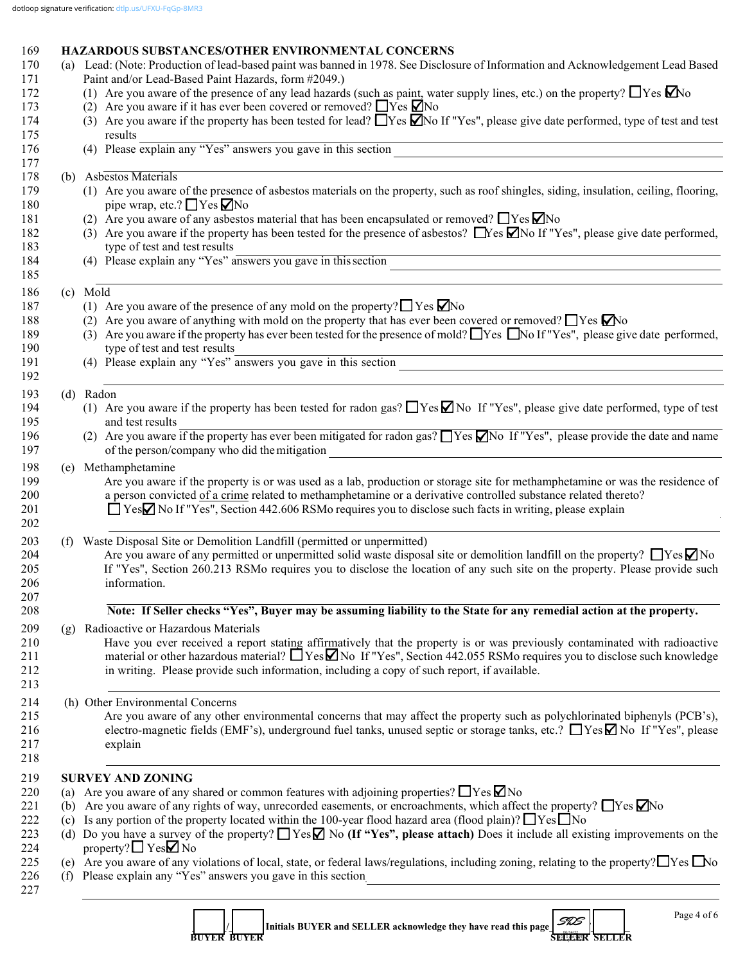# 169 **HAZARDOUS SUBSTANCES/OTHER ENVIRONMENTAL CONCERNS**<br>170 (a) Lead: (Note: Production of lead-based naint was banned in 1978, See Disclose

|     | (a) Lead: (Note: Production of lead-based paint was banned in 1978. See Disclosure of Information and Acknowledgement Lead Based<br>Paint and/or Lead-Based Paint Hazards, form #2049.)                                                                                                                            |
|-----|--------------------------------------------------------------------------------------------------------------------------------------------------------------------------------------------------------------------------------------------------------------------------------------------------------------------|
|     | (1) Are you aware of the presence of any lead hazards (such as paint, water supply lines, etc.) on the property? $\Box$ Yes $\Box$ No                                                                                                                                                                              |
|     | (2) Are you aware if it has ever been covered or removed? $\Box$ Yes $\Box$ No                                                                                                                                                                                                                                     |
|     | (3) Are you aware if the property has been tested for lead? $\Box$ Yes $\Box$ No If "Yes", please give date performed, type of test and test                                                                                                                                                                       |
|     | results                                                                                                                                                                                                                                                                                                            |
|     | (4) Please $\overline{\text{explain any "Yes" answers you gave in this section}}$                                                                                                                                                                                                                                  |
|     | (b) Asbestos Materials                                                                                                                                                                                                                                                                                             |
|     | (1) Are you aware of the presence of asbestos materials on the property, such as roof shingles, siding, insulation, ceiling, flooring,                                                                                                                                                                             |
|     | pipe wrap, etc.? $\Box$ Yes $\neg$ No                                                                                                                                                                                                                                                                              |
|     | (2) Are you aware of any asbestos material that has been encapsulated or removed? $\Box$ Yes $\Box$ No                                                                                                                                                                                                             |
|     | (3) Are you aware if the property has been tested for the presence of asbestos? $\Box$ Yes $\Box$ No If "Yes", please give date performed,                                                                                                                                                                         |
|     | type of test and test results                                                                                                                                                                                                                                                                                      |
|     | (4) Please explain any "Yes" answers you gave in this section                                                                                                                                                                                                                                                      |
|     | (c) Mold                                                                                                                                                                                                                                                                                                           |
|     | (1) Are you aware of the presence of any mold on the property? $\Box$ Yes $\Box$ No                                                                                                                                                                                                                                |
|     | (2) Are you aware of anything with mold on the property that has ever been covered or removed? $\Box$ Yes $\Box$ No                                                                                                                                                                                                |
|     | (3) Are you aware if the property has ever been tested for the presence of mold? TYes No If "Yes", please give date performed,<br>type of test and test results                                                                                                                                                    |
|     | type of test and test results<br>(4) Please explain any "Yes" answers you gave in this section                                                                                                                                                                                                                     |
|     | (d) Radon                                                                                                                                                                                                                                                                                                          |
|     | Are you aware if the property has been tested for radon gas? $\Box$ Yes $\Box$ No If "Yes", please give date performed, type of test<br>(1)                                                                                                                                                                        |
|     | and test results                                                                                                                                                                                                                                                                                                   |
|     | (2) Are you aware if the property has ever been mitigated for radon gas? $\Box$ Yes $\Box$ No If "Yes", please provide the date and name<br>of the person/company who did the mitigation<br><u> 1989 - Johann Stoff, deutscher Stoffen und der Stoffen und der Stoffen und der Stoffen und der Stoffen und der</u> |
| (e) | Methamphetamine                                                                                                                                                                                                                                                                                                    |
|     | Are you aware if the property is or was used as a lab, production or storage site for methamphetamine or was the residence of                                                                                                                                                                                      |
|     | a person convicted of a crime related to methamphetamine or a derivative controlled substance related thereto?                                                                                                                                                                                                     |
|     | $\Box$ Yes $\Box$ No If "Yes", Section 442.606 RSMo requires you to disclose such facts in writing, please explain                                                                                                                                                                                                 |
| (f) | Waste Disposal Site or Demolition Landfill (permitted or unpermitted)                                                                                                                                                                                                                                              |
|     | Are you aware of any permitted or unpermitted solid waste disposal site or demolition landfill on the property? $\Box$ Yes $\Box$ No                                                                                                                                                                               |
|     | If "Yes", Section 260.213 RSMo requires you to disclose the location of any such site on the property. Please provide such                                                                                                                                                                                         |
|     | information.                                                                                                                                                                                                                                                                                                       |
|     | Note: If Seller checks "Yes", Buyer may be assuming liability to the State for any remedial action at the property.                                                                                                                                                                                                |
| (g) | Radioactive or Hazardous Materials                                                                                                                                                                                                                                                                                 |
|     | Have you ever received a report stating affirmatively that the property is or was previously contaminated with radioactive                                                                                                                                                                                         |
|     | material or other hazardous material? Ness No If "Yes", Section 442.055 RSMo requires you to disclose such knowledge                                                                                                                                                                                               |
|     | in writing. Please provide such information, including a copy of such report, if available.                                                                                                                                                                                                                        |
|     | (h) Other Environmental Concerns                                                                                                                                                                                                                                                                                   |
|     | Are you aware of any other environmental concerns that may affect the property such as polychlorinated biphenyls (PCB's),                                                                                                                                                                                          |
|     | electro-magnetic fields (EMF's), underground fuel tanks, unused septic or storage tanks, etc.? $\Box$ Yes $\Box$ No If "Yes", please                                                                                                                                                                               |
|     | explain                                                                                                                                                                                                                                                                                                            |
|     |                                                                                                                                                                                                                                                                                                                    |
| (a) | <b>SURVEY AND ZONING</b><br>Are you aware of any shared or common features with adjoining properties? $\Box$ Yes $\Box$ No                                                                                                                                                                                         |
| (b) | Are you aware of any rights of way, unrecorded easements, or encroachments, which affect the property? $\Box$ Yes $\Box$ No                                                                                                                                                                                        |
| (c) | Is any portion of the property located within the 100-year flood hazard area (flood plain)? $\Box$ Yes $\Box$ No                                                                                                                                                                                                   |
|     | (d) Do you have a survey of the property? $\Box$ Yes $\Box$ No (If "Yes", please attach) Does it include all existing improvements on the                                                                                                                                                                          |
|     | property? $\Box$ Yes $\Box$ No                                                                                                                                                                                                                                                                                     |
|     | (e) Are you aware of any violations of local, state, or federal laws/regulations, including zoning, relating to the property? $\Box$ Yes $\Box$ No                                                                                                                                                                 |
|     | (f) Please explain any "Yes" answers you gave in this section<br><u> 1980 - Andrea Barbara, poeta esperanto-</u>                                                                                                                                                                                                   |
|     |                                                                                                                                                                                                                                                                                                                    |
|     | Page 4 of 6                                                                                                                                                                                                                                                                                                        |

| <b>BUYER BUYER</b> | Initials BUYER and SELLER acknowledge they have read this page $\frac{57}{200}$ | 16/14/22<br><b>SEPPER SELLER</b> |  |
|--------------------|---------------------------------------------------------------------------------|----------------------------------|--|
|                    |                                                                                 |                                  |  |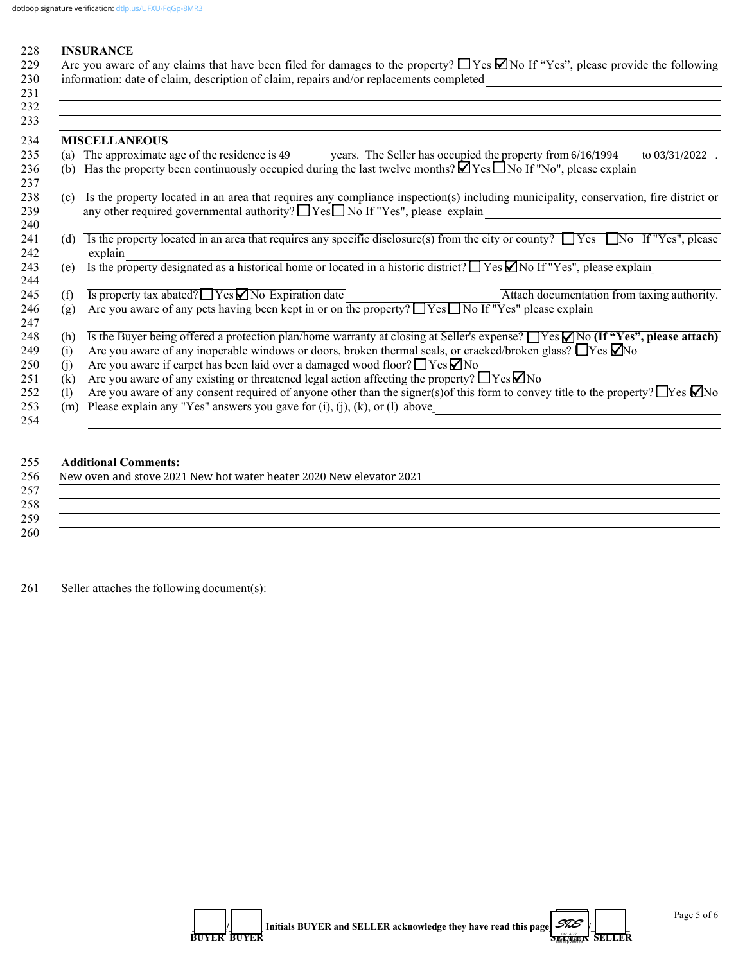## 228 **INSURANCE**

|        | 229 Are you aware of any claims that have been filed for damages to the property? $\Box$ Yes $\Box$ No If "Yes", please provide the following |
|--------|-----------------------------------------------------------------------------------------------------------------------------------------------|
|        | 230 information: date of claim, description of claim, repairs and/or replacements completed                                                   |
| 231    |                                                                                                                                               |
| $\cap$ |                                                                                                                                               |

|     | <b>MISCELLANEOUS</b>                                                                                                                                                                                                             |
|-----|----------------------------------------------------------------------------------------------------------------------------------------------------------------------------------------------------------------------------------|
|     | (a) The approximate age of the residence is 49 years. The Seller has occupied the property from 6/16/1994<br>to 03/31/2022                                                                                                       |
| (b) | Has the property been continuously occupied during the last twelve months? $\Box$ Yes $\Box$ No If "No", please explain                                                                                                          |
| (c) | Is the property located in an area that requires any compliance inspection(s) including municipality, conservation, fire district or<br>any other required governmental authority? $\Box$ Yes $\Box$ No If "Yes", please explain |
| (d) | Is the property located in an area that requires any specific disclosure(s) from the city or county? $\Box$ Yes $\Box$ No If "Yes", please<br>explain                                                                            |
| (e) | Is the property designated as a historical home or located in a historic district? $\Box$ Yes $\Box$ No If "Yes", please explain                                                                                                 |
| (f) | $\overline{Is$ property tax abated? $\Box$ Yes $\Box$ No Expiration date<br>Attach documentation from taxing authority.                                                                                                          |
| (g) | Are you aware of any pets having been kept in or on the property? Nest No If "Yes" please explain                                                                                                                                |
| (h) | Is the Buyer being offered a protection plan/home warranty at closing at Seller's expense? TYes $\Box$ No (If "Yes", please attach)                                                                                              |
| (i) | Are you aware of any inoperable windows or doors, broken thermal seals, or cracked/broken glass? $\Box$ Yes $\Box$ No                                                                                                            |
| (i) | Are you aware if carpet has been laid over a damaged wood floor? $\Box$ Yes $\Box$ No                                                                                                                                            |
| (k) | Are you aware of any existing or threatened legal action affecting the property? $\Box$ Yes $\Box$ No                                                                                                                            |
| (1) | Are you aware of any consent required of anyone other than the signer(s) of this form to convey title to the property? $\Box$ Yes $\Box$ No                                                                                      |
| (m) | Please explain any "Yes" answers you gave for $(i)$ , $(j)$ , $(k)$ , or $(l)$ above                                                                                                                                             |

# 255 **Additional Comments:**

| New oven and stove 2021 New hot water heater 2020 New elevator 2021 |
|---------------------------------------------------------------------|
|                                                                     |
|                                                                     |
|                                                                     |
|                                                                     |
|                                                                     |

261 Seller attaches the following document(s):